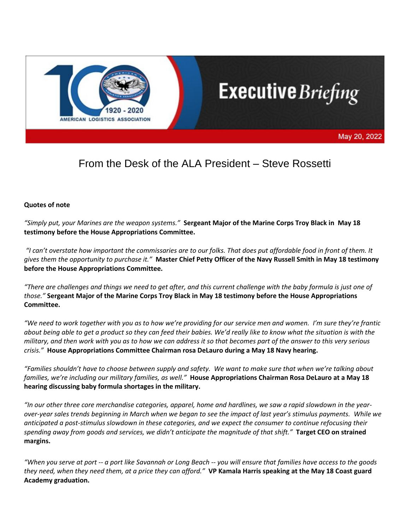

# **Executive** Briefing

May 20, 2022

# From the Desk of the ALA President – Steve Rossetti

#### **Quotes of note**

*"Simply put, your Marines are the weapon systems."* **Sergeant Major of the Marine Corps Troy Black in May 18 testimony before the House Appropriations Committee.**

*"I can't overstate how important the commissaries are to our folks. That does put affordable food in front of them. It gives them the opportunity to purchase it."* **Master Chief Petty Officer of the Navy Russell Smith in May 18 testimony before the House Appropriations Committee.**

*"There are challenges and things we need to get after, and this current challenge with the baby formula is just one of those."* **Sergeant Major of the Marine Corps Troy Black in May 18 testimony before the House Appropriations Committee.**

*"We need to work together with you as to how we're providing for our service men and women. I'm sure they're frantic about being able to get a product so they can feed their babies. We'd really like to know what the situation is with the military, and then work with you as to how we can address it so that becomes part of the answer to this very serious crisis."* **House Appropriations Committee Chairman rosa DeLauro during a May 18 Navy hearing.**

*"Families shouldn't have to choose between supply and safety. We want to make sure that when we're talking about families, we're including our military families, as well."* **House Appropriations Chairman Rosa DeLauro at a May 18 hearing discussing baby formula shortages in the military.**

*"In our other three core merchandise categories, apparel, home and hardlines, we saw a rapid slowdown in the yearover-year sales trends beginning in March when we began to see the impact of last year's stimulus payments. While we anticipated a post-stimulus slowdown in these categories, and we expect the consumer to continue refocusing their spending away from goods and services, we didn't anticipate the magnitude of that shift."* **Target CEO on strained margins.**

*"When you serve at port -- a port like Savannah or Long Beach -- you will ensure that families have access to the goods they need, when they need them, at a price they can afford."* **VP Kamala Harris speaking at the May 18 Coast guard Academy graduation.**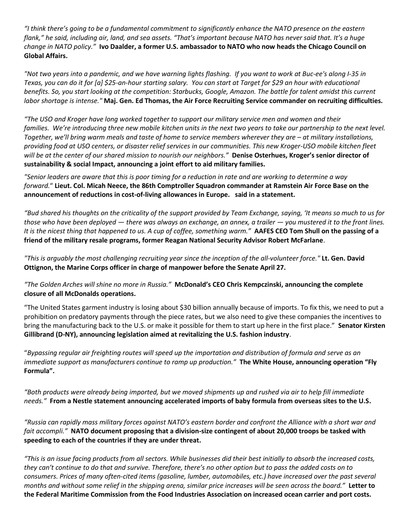*"I think there's going to be a fundamental commitment to significantly enhance the NATO presence on the eastern flank," he said, including air, land, and sea assets. "That's important because NATO has never said that. It's a huge change in NATO policy."* **Ivo Daalder, a former U.S. ambassador to NATO who now heads the Chicago Council on Global Affairs.**

*"Not two years into a pandemic, and we have warning lights flashing. If you want to work at Buc-ee's along I-35 in Texas, you can do it for [a] \$25-an-hour starting salary. You can start at Target for \$29 an hour with educational benefits. So, you start looking at the competition: Starbucks, Google, Amazon. The battle for talent amidst this current labor shortage is intense."* **Maj. Gen. Ed Thomas, the Air Force Recruiting Service commander on recruiting difficulties.**

*"The USO and Kroger have long worked together to support our military service men and women and their families. We're introducing three new mobile kitchen units in the next two years to take our partnership to the next level. Together, we'll bring warm meals and taste of home to service members wherever they are – at military installations, providing food at USO centers, or disaster relief services in our communities. This new Kroger-USO mobile kitchen fleet will be at the center of our shared mission to nourish our neighbors."* **Denise Osterhues, Kroger's senior director of sustainability & social Impact, announcing a joint effort to aid military families.**

*"Senior leaders are aware that this is poor timing for a reduction in rate and are working to determine a way forward.*" **Lieut. Col. Micah Neece, the 86th Comptroller Squadron commander at Ramstein Air Force Base on the announcement of reductions in cost-of-living allowances in Europe. said in a statement.**

*"Bud shared his thoughts on the criticality of the support provided by Team Exchange, saying, 'It means so much to us for those who have been deployed — there was always an exchange, an annex, a trailer — you mustered it to the front lines. It is the nicest thing that happened to us. A cup of coffee, something warm."* **AAFES CEO Tom Shull on the passing of a friend of the military resale programs, former Reagan National Security Advisor Robert McFarlane**.

*"This is arguably the most challenging recruiting year since the inception of the all-volunteer force."* **Lt. Gen. David Ottignon, the Marine Corps officer in charge of manpower before the Senate April 27.**

*"The Golden Arches will shine no more in Russia."* **McDonald's CEO Chris Kempczinski, announcing the complete closure of all McDonalds operations.**

"The United States garment industry is losing about \$30 billion annually because of imports. To fix this, we need to put a prohibition on predatory payments through the piece rates, but we also need to give these companies the incentives to bring the manufacturing back to the U.S. or make it possible for them to start up here in the first place." **Senator Kirsten Gillibrand (D-NY), announcing legislation aimed at revitalizing the U.S. fashion industry**.

"*Bypassing regular air freighting routes will speed up the importation and distribution of formula and serve as an immediate support as manufacturers continue to ramp up production."* **The White House, announcing operation "Fly Formula".**

*"Both products were already being imported, but we moved shipments up and rushed via air to help fill immediate needs."* **From a Nestle statement announcing accelerated imports of baby formula from overseas sites to the U.S.**

*"Russia can rapidly mass military forces against NATO's eastern border and confront the Alliance with a short war and fait accompli."* **NATO document proposing that a division-size contingent of about 20,000 troops be tasked with speeding to each of the countries if they are under threat.**

*"This is an issue facing products from all sectors. While businesses did their best initially to absorb the increased costs, they can't continue to do that and survive. Therefore, there's no other option but to pass the added costs on to consumers. Prices of many often-cited items (gasoline, lumber, automobiles, etc.) have increased over the past several months and without some relief in the shipping arena, similar price increases will be seen across the board."* **Letter to the Federal Maritime Commission from the Food Industries Association on increased ocean carrier and port costs.**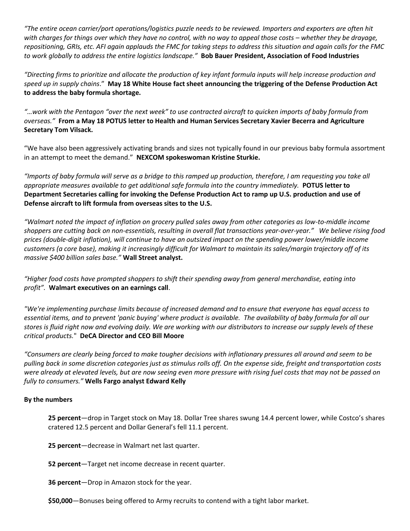*"The entire ocean carrier/port operations/logistics puzzle needs to be reviewed. Importers and exporters are often hit with charges for things over which they have no control, with no way to appeal those costs – whether they be drayage, repositioning, GRIs, etc. AFI again applauds the FMC for taking steps to address this situation and again calls for the FMC to work globally to address the entire logistics landscape."* **Bob Bauer President, Association of Food Industries**

*"Directing firms to prioritize and allocate the production of key infant formula inputs will help increase production and speed up in supply chains*." **May 18 White House fact sheet announcing the triggering of the Defense Production Act to address the baby formula shortage.**

*"…work with the Pentagon "over the next week" to use contracted aircraft to quicken imports of baby formula from overseas."* **From a May 18 POTUS letter to Health and Human Services Secretary Xavier Becerra and Agriculture Secretary Tom Vilsack.**

"We have also been aggressively activating brands and sizes not typically found in our previous baby formula assortment in an attempt to meet the demand." **NEXCOM spokeswoman Kristine Sturkie.**

*"Imports of baby formula will serve as a bridge to this ramped up production, therefore, I am requesting you take all appropriate measures available to get additional safe formula into the country immediately.* **POTUS letter to Department Secretaries calling for invoking the Defense Production Act to ramp up U.S. production and use of Defense aircraft to lift formula from overseas sites to the U.S.**

*"Walmart noted the impact of inflation on grocery pulled sales away from other categories as low-to-middle income shoppers are cutting back on non-essentials, resulting in overall flat transactions year-over-year." We believe rising food prices (double-digit inflation), will continue to have an outsized impact on the spending power lower/middle income customers (a core base), making it increasingly difficult for Walmart to maintain its sales/margin trajectory off of its massive \$400 billion sales base."* **Wall Street analyst.**

*"Higher food costs have prompted shoppers to shift their spending away from general merchandise, eating into profit".* **Walmart executives on an earnings call**.

*"We're implementing purchase limits because of increased demand and to ensure that everyone has equal access to essential items, and to prevent 'panic buying' where product is available. The availability of baby formula for all our stores is fluid right now and evolving daily. We are working with our distributors to increase our supply levels of these critical products.*" **DeCA Director and CEO Bill Moore**

*"Consumers are clearly being forced to make tougher decisions with inflationary pressures all around and seem to be pulling back in some discretion categories just as stimulus rolls off. On the expense side, freight and transportation costs were already at elevated levels, but are now seeing even more pressure with rising fuel costs that may not be passed on fully to consumers."* **Wells Fargo analyst Edward Kelly**

#### **By the numbers**

**25 percent**—drop in Target stock on May 18. Dollar Tree shares swung 14.4 percent lower, while Costco's shares cratered 12.5 percent and Dollar General's fell 11.1 percent.

**25 percent**—decrease in Walmart net last quarter.

**52 percent**—Target net income decrease in recent quarter.

**36 percent**—Drop in Amazon stock for the year.

**\$50,000**—Bonuses being offered to Army recruits to contend with a tight labor market.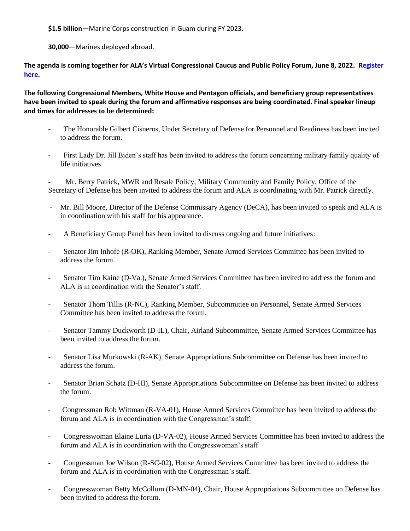**\$1.5 billion**—Marine Corps construction in Guam during FY 2023.

**30,000**—Marines deployed abroad.

**The agenda is coming together for ALA's Virtual Congressional Caucus and Public Policy Forum, June 8, 2022. [Register](https://protection.greathorn.com/services/v2/lookupUrl/a74196c2-f0fb-4cb7-930a-5f6d629a92c6/616/f7f4c1c290521c10732587372056f9b49c0ae21d)  [here.](https://protection.greathorn.com/services/v2/lookupUrl/a74196c2-f0fb-4cb7-930a-5f6d629a92c6/616/f7f4c1c290521c10732587372056f9b49c0ae21d)** 

**The following Congressional Members, White House and Pentagon officials, and beneficiary group representatives have been invited to speak during the forum and affirmative responses are being coordinated. Final speaker lineup and times for addresses to be determined:**

- The Honorable Gilbert Cisneros, Under Secretary of Defense for Personnel and Readiness has been invited to address the forum.
- First Lady Dr. Jill Biden's staff has been invited to address the forum concerning military family quality of life initiatives.

Mr. Berry Patrick, MWR and Resale Policy, Military Community and Family Policy, Office of the Secretary of Defense has been invited to address the forum and ALA is coordinating with Mr. Patrick directly.

- Mr. Bill Moore, Director of the Defense Commissary Agency (DeCA), has been invited to speak and ALA is in coordination with his staff for his appearance.
- A Beneficiary Group Panel has been invited to discuss ongoing and future initiatives:
- Senator Jim Inhofe (R-OK), Ranking Member, Senate Armed Services Committee has been invited to address the forum.
- Senator Tim Kaine (D-Va.), Senate Armed Services Committee has been invited to address the forum and ALA is in coordination with the Senator's staff.
- Senator Thom Tillis (R-NC), Ranking Member, Subcommittee on Personnel, Senate Armed Services Committee has been invited to address the forum.
- Senator Tammy Duckworth (D-IL), Chair, Airland Subcommittee, Senate Armed Services Committee has been invited to address the forum.
- Senator Lisa Murkowski (R-AK), Senate Appropriations Subcommittee on Defense has been invited to address the forum.
- Senator Brian Schatz (D-HI), Senate Appropriations Subcommittee on Defense has been invited to address the forum.
- Congressman Rob Wittman (R-VA-01), House Armed Services Committee has been invited to address the forum and ALA is in coordination with the Congressman's staff.
- Congresswoman Elaine Luria (D-VA-02), House Armed Services Committee has been invited to address the forum and ALA is in coordination with the Congresswoman's staff
- Congressman Joe Wilson (R-SC-02), House Armed Services Committee has been invited to address the forum and ALA is in coordination with the Congressman's staff.
- Congresswoman Betty McCollum (D-MN-04), Chair, House Appropriations Subcommittee on Defense has been invited to address the forum.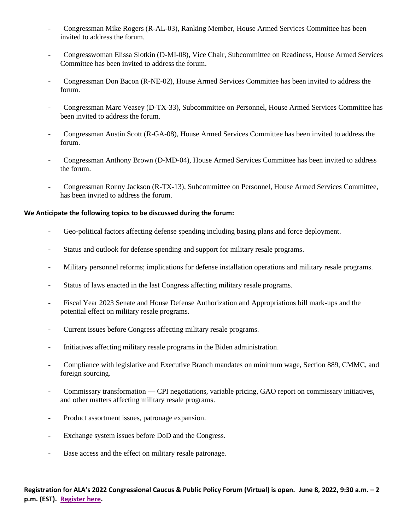- Congressman Mike Rogers (R-AL-03), Ranking Member, House Armed Services Committee has been invited to address the forum.
- Congresswoman Elissa Slotkin (D-MI-08), Vice Chair, Subcommittee on Readiness, House Armed Services Committee has been invited to address the forum.
- Congressman Don Bacon (R-NE-02), House Armed Services Committee has been invited to address the forum.
- Congressman Marc Veasey (D-TX-33), Subcommittee on Personnel, House Armed Services Committee has been invited to address the forum.
- Congressman Austin Scott (R-GA-08), House Armed Services Committee has been invited to address the forum.
- Congressman Anthony Brown (D-MD-04), House Armed Services Committee has been invited to address the forum.
- Congressman Ronny Jackson (R-TX-13), Subcommittee on Personnel, House Armed Services Committee, has been invited to address the forum.

#### **We Anticipate the following topics to be discussed during the forum:**

- Geo-political factors affecting defense spending including basing plans and force deployment.
- Status and outlook for defense spending and support for military resale programs.
- Military personnel reforms; implications for defense installation operations and military resale programs.
- Status of laws enacted in the last Congress affecting military resale programs.
- Fiscal Year 2023 Senate and House Defense Authorization and Appropriations bill mark-ups and the potential effect on military resale programs.
- Current issues before Congress affecting military resale programs.
- Initiatives affecting military resale programs in the Biden administration.
- Compliance with legislative and Executive Branch mandates on minimum wage, Section 889, CMMC, and foreign sourcing.
- Commissary transformation CPI negotiations, variable pricing, GAO report on commissary initiatives, and other matters affecting military resale programs.
- Product assortment issues, patronage expansion.
- Exchange system issues before DoD and the Congress.
- Base access and the effect on military resale patronage.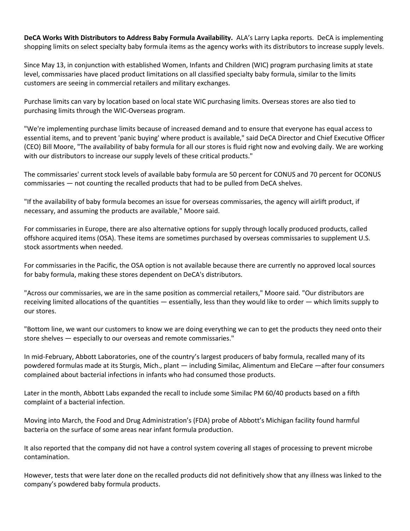**DeCA Works With Distributors to Address Baby Formula Availability.** ALA's Larry Lapka reports. DeCA is implementing shopping limits on select specialty baby formula items as the agency works with its distributors to increase supply levels.

Since May 13, in conjunction with established Women, Infants and Children (WIC) program purchasing limits at state level, commissaries have placed product limitations on all classified specialty baby formula, similar to the limits customers are seeing in commercial retailers and military exchanges.

Purchase limits can vary by location based on local state WIC purchasing limits. Overseas stores are also tied to purchasing limits through the WIC-Overseas program.

"We're implementing purchase limits because of increased demand and to ensure that everyone has equal access to essential items, and to prevent 'panic buying' where product is available," said DeCA Director and Chief Executive Officer (CEO) Bill Moore, "The availability of baby formula for all our stores is fluid right now and evolving daily. We are working with our distributors to increase our supply levels of these critical products."

The commissaries' current stock levels of available baby formula are 50 percent for CONUS and 70 percent for OCONUS commissaries — not counting the recalled products that had to be pulled from DeCA shelves.

"If the availability of baby formula becomes an issue for overseas commissaries, the agency will airlift product, if necessary, and assuming the products are available," Moore said.

For commissaries in Europe, there are also alternative options for supply through locally produced products, called offshore acquired items (OSA). These items are sometimes purchased by overseas commissaries to supplement U.S. stock assortments when needed.

For commissaries in the Pacific, the OSA option is not available because there are currently no approved local sources for baby formula, making these stores dependent on DeCA's distributors.

"Across our commissaries, we are in the same position as commercial retailers," Moore said. "Our distributors are receiving limited allocations of the quantities — essentially, less than they would like to order — which limits supply to our stores.

"Bottom line, we want our customers to know we are doing everything we can to get the products they need onto their store shelves — especially to our overseas and remote commissaries."

In mid-February, Abbott Laboratories, one of the country's largest producers of baby formula, recalled many of its powdered formulas made at its Sturgis, Mich., plant — including Similac, Alimentum and EleCare —after four consumers complained about bacterial infections in infants who had consumed those products.

Later in the month, Abbott Labs expanded the recall to include some Similac PM 60/40 products based on a fifth complaint of a bacterial infection.

Moving into March, the Food and Drug Administration's (FDA) probe of Abbott's Michigan facility found harmful bacteria on the surface of some areas near infant formula production.

It also reported that the company did not have a control system covering all stages of processing to prevent microbe contamination.

However, tests that were later done on the recalled products did not definitively show that any illness was linked to the company's powdered baby formula products.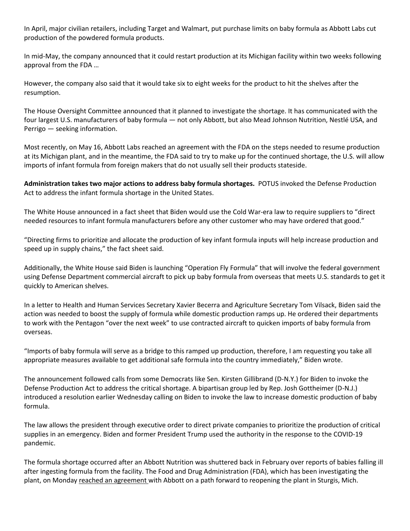In April, major civilian retailers, including Target and Walmart, put purchase limits on baby formula as Abbott Labs cut production of the powdered formula products.

In mid-May, the company announced that it could restart production at its Michigan facility within two weeks following approval from the FDA …

However, the company also said that it would take six to eight weeks for the product to hit the shelves after the resumption.

The House Oversight Committee announced that it planned to investigate the shortage. It has communicated with the four largest U.S. manufacturers of baby formula — not only Abbott, but also Mead Johnson Nutrition, Nestlé USA, and Perrigo — seeking information.

Most recently, on May 16, Abbott Labs reached an agreement with the FDA on the steps needed to resume production at its Michigan plant, and in the meantime, the FDA said to try to make up for the continued shortage, the U.S. will allow imports of infant formula from foreign makers that do not usually sell their products stateside.

**Administration takes two major actions to address baby formula shortages.** POTUS invoked the Defense Production Act to address the infant formula shortage in the United States.

The White House announced in a fact sheet that Biden would use the Cold War-era law to require suppliers to "direct needed resources to infant formula manufacturers before any other customer who may have ordered that good."

"Directing firms to prioritize and allocate the production of key infant formula inputs will help increase production and speed up in supply chains," the fact sheet said.

Additionally, the White House said Biden is launching "Operation Fly Formula" that will involve the federal government using Defense Department commercial aircraft to pick up baby formula from overseas that meets U.S. standards to get it quickly to American shelves.

In a letter to Health and Human Services Secretary Xavier Becerra and Agriculture Secretary Tom Vilsack, Biden said the action was needed to boost the supply of formula while domestic production ramps up. He ordered their departments to work with the Pentagon "over the next week" to use contracted aircraft to quicken imports of baby formula from overseas.

"Imports of baby formula will serve as a bridge to this ramped up production, therefore, I am requesting you take all appropriate measures available to get additional safe formula into the country immediately," Biden wrote.

The announcement followed calls from some Democrats like Sen. Kirsten Gillibrand (D-N.Y.) for Biden to invoke the Defense Production Act to address the critical shortage. A bipartisan group led by Rep. Josh Gottheimer (D-N.J.) introduced a resolution earlier Wednesday calling on Biden to invoke the law to increase domestic production of baby formula.

The law allows the president through executive order to direct private companies to prioritize the production of critical supplies in an emergency. Biden and former President Trump used the authority in the response to the COVID-19 pandemic.

The formula shortage occurred after an Abbott Nutrition was shuttered back in February over reports of babies falling ill after ingesting formula from the facility. The Food and Drug Administration (FDA), which has been investigating the plant, on Monday [reached an agreement](https://protection.greathorn.com/services/v2/lookupUrl/833f0eb3-3918-4d62-84b9-5a30e6779915/616/8f8ec720601d17f01053b546f56736dcc83cf699) with Abbott on a path forward to reopening the plant in Sturgis, Mich.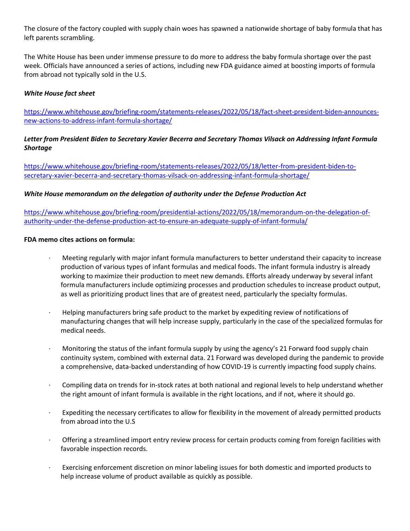The closure of the factory coupled with supply chain woes has spawned a nationwide shortage of baby formula that has left parents scrambling.

The White House has been under immense pressure to do more to address the baby formula shortage over the past week. Officials have announced a series of actions, including new FDA guidance aimed at boosting imports of formula from abroad not typically sold in the U.S.

#### *White House fact sheet*

[https://www.whitehouse.gov/briefing-room/statements-releases/2022/05/18/fact-sheet-president-biden-announces](https://protection.greathorn.com/services/v2/lookupUrl/36b37bc2-8dde-447f-b43d-cc56a310897e/616/8f8ec720601d17f01053b546f56736dcc83cf699)[new-actions-to-address-infant-formula-shortage/](https://protection.greathorn.com/services/v2/lookupUrl/36b37bc2-8dde-447f-b43d-cc56a310897e/616/8f8ec720601d17f01053b546f56736dcc83cf699)

# *Letter from President Biden to Secretary Xavier Becerra and Secretary Thomas Vilsack on Addressing Infant Formula Shortage*

[https://www.whitehouse.gov/briefing-room/statements-releases/2022/05/18/letter-from-president-biden-to](https://protection.greathorn.com/services/v2/lookupUrl/fc563e0e-9cab-4e4b-8187-2fcff4ff19a4/616/8f8ec720601d17f01053b546f56736dcc83cf699)[secretary-xavier-becerra-and-secretary-thomas-vilsack-on-addressing-infant-formula-shortage/](https://protection.greathorn.com/services/v2/lookupUrl/fc563e0e-9cab-4e4b-8187-2fcff4ff19a4/616/8f8ec720601d17f01053b546f56736dcc83cf699)

#### *White House memorandum on the delegation of authority under the Defense Production Act*

[https://www.whitehouse.gov/briefing-room/presidential-actions/2022/05/18/memorandum-on-the-delegation-of](https://protection.greathorn.com/services/v2/lookupUrl/1b5e08a1-92c0-47ad-82d7-57e3c56dbcd3/616/8f8ec720601d17f01053b546f56736dcc83cf699)[authority-under-the-defense-production-act-to-ensure-an-adequate-supply-of-infant-formula/](https://protection.greathorn.com/services/v2/lookupUrl/1b5e08a1-92c0-47ad-82d7-57e3c56dbcd3/616/8f8ec720601d17f01053b546f56736dcc83cf699)

#### **FDA memo cites actions on formula:**

- Meeting regularly with major infant formula manufacturers to better understand their capacity to increase production of various types of infant formulas and medical foods. The infant formula industry is already working to maximize their production to meet new demands. Efforts already underway by several infant formula manufacturers include optimizing processes and production schedules to increase product output, as well as prioritizing product lines that are of greatest need, particularly the specialty formulas.
- · Helping manufacturers bring safe product to the market by expediting review of notifications of manufacturing changes that will help increase supply, particularly in the case of the specialized formulas for medical needs.
- · Monitoring the status of the infant formula supply by using the agency's 21 Forward food supply chain continuity system, combined with external data. 21 Forward was developed during the pandemic to provide a comprehensive, data-backed understanding of how COVID-19 is currently impacting food supply chains.
- · Compiling data on trends for in-stock rates at both national and regional levels to help understand whether the right amount of infant formula is available in the right locations, and if not, where it should go.
- Expediting the necessary certificates to allow for flexibility in the movement of already permitted products from abroad into the U.S
- · Offering a streamlined import entry review process for certain products coming from foreign facilities with favorable inspection records.
- Exercising enforcement discretion on minor labeling issues for both domestic and imported products to help increase volume of product available as quickly as possible.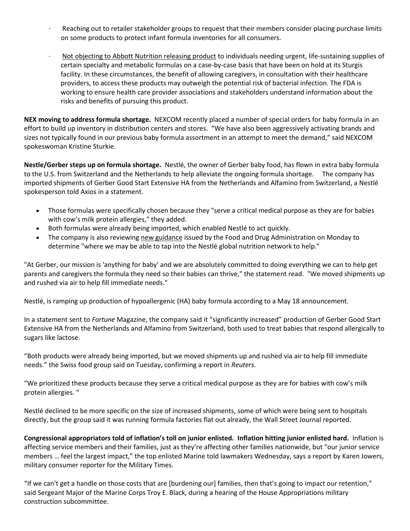- Reaching out to retailer stakeholder groups to request that their members consider placing purchase limits on some products to protect infant formula inventories for all consumers.
- · [Not objecting to Abbott Nutrition releasing product](https://protection.greathorn.com/services/v2/lookupUrl/ac07fdf8-b7bb-4a12-abf8-12316c8a3880/616/8f8ec720601d17f01053b546f56736dcc83cf699) to individuals needing urgent, life-sustaining supplies of certain specialty and metabolic formulas on a case-by-case basis that have been on hold at its Sturgis facility. In these circumstances, the benefit of allowing caregivers, in consultation with their healthcare providers, to access these products may outweigh the potential risk of bacterial infection. The FDA is working to ensure health care provider associations and stakeholders understand information about the risks and benefits of pursuing this product.

**NEX moving to address formula shortage.** NEXCOM recently placed a number of special orders for baby formula in an effort to build up inventory in distribution centers and stores. "We have also been aggressively activating brands and sizes not typically found in our previous baby formula assortment in an attempt to meet the demand," said NEXCOM spokeswoman Kristine Sturkie.

**Nestle/Gerber steps up on formula shortage.** Nestlé, the owner of Gerber baby food, has flown in extra baby formula to the U.S. from Switzerland and the Netherlands to help alleviate the ongoing formula shortage. The company has imported shipments of Gerber Good Start Extensive HA from the Netherlands and Alfamino from Switzerland, a Nestlé spokesperson told Axios in a statement.

- Those formulas were specifically chosen because they "serve a critical medical purpose as they are for babies with cow's milk protein allergies," they added.
- Both formulas were already being imported, which enabled Nestlé to act quickly.
- The company is also reviewing [new guidance](https://protection.greathorn.com/services/v2/lookupUrl/4b22b8d4-2e8d-4d5e-9d34-db80adda5cdd/616/8f8ec720601d17f01053b546f56736dcc83cf699) issued by the Food and Drug Administration on Monday to determine "where we may be able to tap into the Nestlé global nutrition network to help."

"At Gerber, our mission is 'anything for baby' and we are absolutely committed to doing everything we can to help get parents and caregivers the formula they need so their babies can thrive," the statement read. "We moved shipments up and rushed via air to help fill immediate needs."

Nestlé, is ramping up production of hypoallergenic (HA) baby formula according to a May 18 announcement.

In a statement sent to *Fortune* Magazine, the company said it "significantly increased" production of Gerber Good Start Extensive HA from the Netherlands and Alfamino from Switzerland, both used to treat babies that respond allergically to sugars like lactose.

"Both products were already being imported, but we moved shipments up and rushed via air to help fill immediate needs." the Swiss food group said on Tuesday, confirming a report in *Reuters*.

"We prioritized these products because they serve a critical medical purpose as they are for babies with cow's milk protein allergies. "

Nestlé declined to be more specific on the size of increased shipments, some of which were being sent to hospitals directly, but the group said it was running formula factories flat out already, the Wall Street Journal reported.

**Congressional appropriators told of inflation's toll on junior enlisted. Inflation hitting junior enlisted hard.** Inflation is affecting service members and their families, just as they're affecting other families nationwide, but "our junior service members … feel the largest impact," the top enlisted Marine told lawmakers Wednesday, says a report by Karen Jowers, military consumer reporter for the Military Times.

"If we can't get a handle on those costs that are [burdening our] families, then that's going to impact our retention," said Sergeant Major of the Marine Corps Troy E. Black, during a hearing of the House Appropriations military construction subcommittee.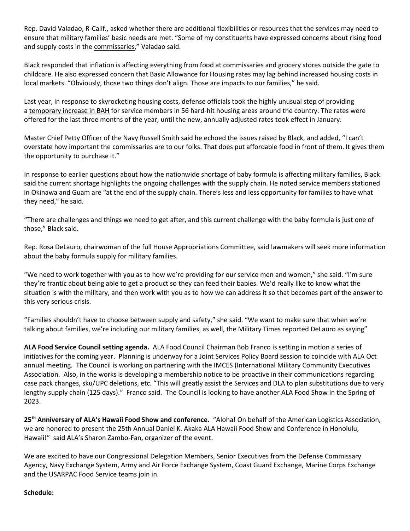Rep. David Valadao, R-Calif., asked whether there are additional flexibilities or resources that the services may need to ensure that military families' basic needs are met. "Some of my constituents have expressed concerns about rising food and supply costs in the [commissaries](https://protection.greathorn.com/services/v2/lookupUrl/e09f3dfc-6720-4791-bd29-c255e2870086/616/8f8ec720601d17f01053b546f56736dcc83cf699)," Valadao said.

Black responded that inflation is affecting everything from food at commissaries and grocery stores outside the gate to childcare. He also expressed concern that Basic Allowance for Housing rates may lag behind increased housing costs in local markets. "Obviously, those two things don't align. Those are impacts to our families," he said.

Last year, in response to skyrocketing housing costs, defense officials took the highly unusual step of providing a [temporary increase in BAH](https://protection.greathorn.com/services/v2/lookupUrl/9cad7059-4080-44b3-a8e0-c1b428a0bdce/616/8f8ec720601d17f01053b546f56736dcc83cf699) for service members in 56 hard-hit housing areas around the country. The rates were offered for the last three months of the year, until the new, annually adjusted rates took effect in January.

Master Chief Petty Officer of the Navy Russell Smith said he echoed the issues raised by Black, and added, "I can't overstate how important the commissaries are to our folks. That does put affordable food in front of them. It gives them the opportunity to purchase it."

In response to earlier questions about how the nationwide shortage of baby formula is affecting military families, Black said the current shortage highlights the ongoing challenges with the supply chain. He noted service members stationed in Okinawa and Guam are "at the end of the supply chain. There's less and less opportunity for families to have what they need," he said.

"There are challenges and things we need to get after, and this current challenge with the baby formula is just one of those," Black said.

Rep. Rosa DeLauro, chairwoman of the full House Appropriations Committee, said lawmakers will seek more information about the baby formula supply for military families.

"We need to work together with you as to how we're providing for our service men and women," she said. "I'm sure they're frantic about being able to get a product so they can feed their babies. We'd really like to know what the situation is with the military, and then work with you as to how we can address it so that becomes part of the answer to this very serious crisis.

"Families shouldn't have to choose between supply and safety," she said. "We want to make sure that when we're talking about families, we're including our military families, as well, the Military Times reported DeLauro as saying"

**ALA Food Service Council setting agenda.** ALA Food Council Chairman Bob Franco is setting in motion a series of initiatives for the coming year. Planning is underway for a Joint Services Policy Board session to coincide with ALA Oct annual meeting. The Council is working on partnering with the IMCES (International Military Community Executives Association. Also, in the works is developing a membership notice to be proactive in their communications regarding case pack changes, sku/UPC deletions, etc. "This will greatly assist the Services and DLA to plan substitutions due to very lengthy supply chain (125 days)." Franco said. The Council is looking to have another ALA Food Show in the Spring of 2023.

**25th Anniversary of ALA's Hawaii Food Show and conference.** "Aloha! On behalf of the American Logistics Association, we are honored to present the 25th Annual Daniel K. Akaka ALA Hawaii Food Show and Conference in Honolulu, Hawaii!" said ALA's Sharon Zambo-Fan, organizer of the event.

We are excited to have our Congressional Delegation Members, Senior Executives from the Defense Commissary Agency, Navy Exchange System, Army and Air Force Exchange System, Coast Guard Exchange, Marine Corps Exchange and the USARPAC Food Service teams join in.

#### **Schedule:**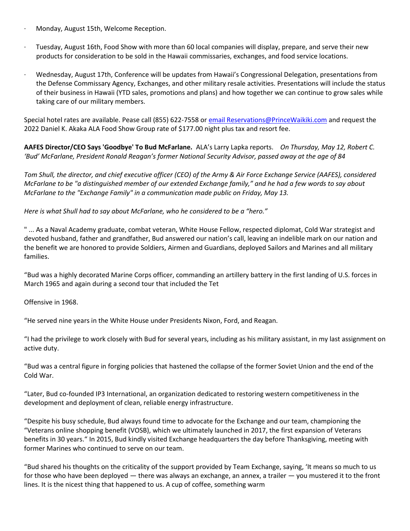- · Monday, August 15th, Welcome Reception.
- · Tuesday, August 16th, Food Show with more than 60 local companies will display, prepare, and serve their new products for consideration to be sold in the Hawaii commissaries, exchanges, and food service locations.
- · Wednesday, August 17th, Conference will be updates from Hawaii's Congressional Delegation, presentations from the Defense Commissary Agency, Exchanges, and other military resale activities. Presentations will include the status of their business in Hawaii (YTD sales, promotions and plans) and how together we can continue to grow sales while taking care of our military members.

Special hotel rates are available. Pease call (855) 622-7558 or [email Reservations@PrinceWaikiki.com](mailto:Reservations@PrinceWaikiki.com) and request the 2022 Daniel K. Akaka ALA Food Show Group rate of \$177.00 night plus tax and resort fee.

**AAFES Director/CEO Says 'Goodbye' To Bud McFarlane.** ALA's Larry Lapka reports. *On Thursday, May 12, Robert C. 'Bud' McFarlane, President Ronald Reagan's former National Security Advisor, passed away at the age of 84*

*Tom Shull, the director, and chief executive officer (CEO) of the Army & Air Force Exchange Service (AAFES), considered McFarlane to be "a distinguished member of our extended Exchange family," and he had a few words to say about McFarlane to the "Exchange Family" in a communication made public on Friday, May 13.*

*Here is what Shull had to say about McFarlane, who he considered to be a "hero."*

" ... As a Naval Academy graduate, combat veteran, White House Fellow, respected diplomat, Cold War strategist and devoted husband, father and grandfather, Bud answered our nation's call, leaving an indelible mark on our nation and the benefit we are honored to provide Soldiers, Airmen and Guardians, deployed Sailors and Marines and all military families.

"Bud was a highly decorated Marine Corps officer, commanding an artillery battery in the first landing of U.S. forces in March 1965 and again during a second tour that included the Tet

Offensive in 1968.

"He served nine years in the White House under Presidents Nixon, Ford, and Reagan.

"I had the privilege to work closely with Bud for several years, including as his military assistant, in my last assignment on active duty.

"Bud was a central figure in forging policies that hastened the collapse of the former Soviet Union and the end of the Cold War.

"Later, Bud co-founded IP3 International, an organization dedicated to restoring western competitiveness in the development and deployment of clean, reliable energy infrastructure.

"Despite his busy schedule, Bud always found time to advocate for the Exchange and our team, championing the "Veterans online shopping benefit (VOSB), which we ultimately launched in 2017, the first expansion of Veterans benefits in 30 years." In 2015, Bud kindly visited Exchange headquarters the day before Thanksgiving, meeting with former Marines who continued to serve on our team.

"Bud shared his thoughts on the criticality of the support provided by Team Exchange, saying, 'It means so much to us for those who have been deployed — there was always an exchange, an annex, a trailer — you mustered it to the front lines. It is the nicest thing that happened to us. A cup of coffee, something warm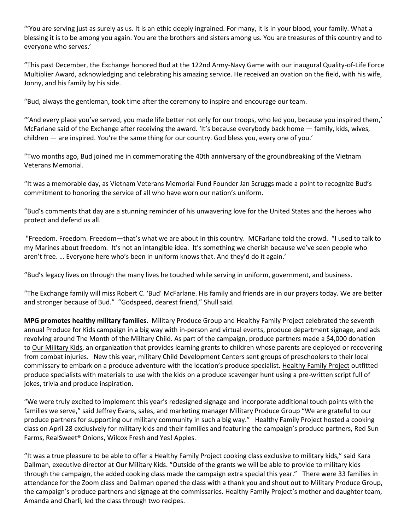"'You are serving just as surely as us. It is an ethic deeply ingrained. For many, it is in your blood, your family. What a blessing it is to be among you again. You are the brothers and sisters among us. You are treasures of this country and to everyone who serves.'

"This past December, the Exchange honored Bud at the 122nd Army-Navy Game with our inaugural Quality-of-Life Force Multiplier Award, acknowledging and celebrating his amazing service. He received an ovation on the field, with his wife, Jonny, and his family by his side.

"Bud, always the gentleman, took time after the ceremony to inspire and encourage our team.

"'And every place you've served, you made life better not only for our troops, who led you, because you inspired them,' McFarlane said of the Exchange after receiving the award. 'It's because everybody back home — family, kids, wives, children — are inspired. You're the same thing for our country. God bless you, every one of you.'

"Two months ago, Bud joined me in commemorating the 40th anniversary of the groundbreaking of the Vietnam Veterans Memorial.

"It was a memorable day, as Vietnam Veterans Memorial Fund Founder Jan Scruggs made a point to recognize Bud's commitment to honoring the service of all who have worn our nation's uniform.

"Bud's comments that day are a stunning reminder of his unwavering love for the United States and the heroes who protect and defend us all.

"Freedom. Freedom. Freedom—that's what we are about in this country. MCFarlane told the crowd. "I used to talk to my Marines about freedom. It's not an intangible idea. It's something we cherish because we've seen people who aren't free. … Everyone here who's been in uniform knows that. And they'd do it again.'

"Bud's legacy lives on through the many lives he touched while serving in uniform, government, and business.

"The Exchange family will miss Robert C. 'Bud' McFarlane. His family and friends are in our prayers today. We are better and stronger because of Bud." "Godspeed, dearest friend," Shull said.

**MPG promotes healthy military families.** Military Produce Group and Healthy Family Project celebrated the seventh annual Produce for Kids campaign in a big way with in-person and virtual events, produce department signage, and ads revolving around The Month of the Military Child. As part of the campaign, produce partners made a \$4,000 donation to Our [Military](https://protection.greathorn.com/services/v2/lookupUrl/c1ddafaa-3907-4f8e-b69f-85b283dc6699/616/8f8ec720601d17f01053b546f56736dcc83cf699) Kids, an organization that provides learning grants to children whose parents are deployed or recovering from combat injuries. New this year, military Child Development Centers sent groups of preschoolers to their local commissary to embark on a produce adventure with the location's produce specialist. [Healthy](https://protection.greathorn.com/services/v2/lookupUrl/58d2dc85-92cf-43a0-8689-2739d0b057a6/616/8f8ec720601d17f01053b546f56736dcc83cf699) Family Project outfitted produce specialists with materials to use with the kids on a produce scavenger hunt using a pre-written script full of jokes, trivia and produce inspiration.

"We were truly excited to implement this year's redesigned signage and incorporate additional touch points with the families we serve," said Jeffrey Evans, sales, and marketing manager Military Produce Group "We are grateful to our produce partners for supporting our military community in such a big way." Healthy Family Project hosted a cooking class on April 28 exclusively for military kids and their families and featuring the campaign's produce partners, Red Sun Farms, RealSweet® Onions, Wilcox Fresh and Yes! Apples.

"It was a true pleasure to be able to offer a Healthy Family Project cooking class exclusive to military kids," said Kara Dallman, executive director at Our Military Kids. "Outside of the grants we will be able to provide to military kids through the campaign, the added cooking class made the campaign extra special this year." There were 33 families in attendance for the Zoom class and Dallman opened the class with a thank you and shout out to Military Produce Group, the campaign's produce partners and signage at the commissaries. Healthy Family Project's mother and daughter team, Amanda and Charli, led the class through two recipes.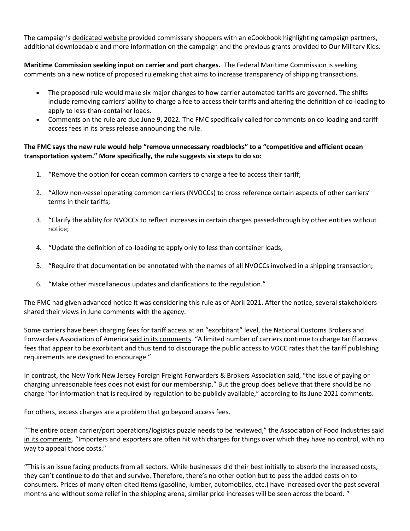The campaign's [dedicated](https://protection.greathorn.com/services/v2/lookupUrl/e03eb7ad-9dd5-4ed2-8747-7039a3a50ed1/616/8f8ec720601d17f01053b546f56736dcc83cf699) website provided commissary shoppers with an eCookbook highlighting campaign partners, additional downloadable and more information on the campaign and the previous grants provided to Our Military Kids.

**Maritime Commission seeking input on carrier and port charges.** The Federal Maritime Commission is seeking comments on a new notice of proposed rulemaking that aims to increase transparency of shipping transactions.

- The proposed rule would make six major changes to how carrier automated tariffs are governed. The shifts include removing carriers' ability to charge a fee to access their tariffs and altering the definition of co-loading to apply to less-than-container loads.
- Comments on the rule are due June 9, 2022. The FMC specifically called for comments on co-loading and tariff access fees in its [press release announcing the rule.](https://protection.greathorn.com/services/v2/lookupUrl/68f1b80b-de3f-4c68-83f0-9756a02ea357/616/8f8ec720601d17f01053b546f56736dcc83cf699)

# **The FMC says the new rule would help "remove unnecessary roadblocks" to a "competitive and efficient ocean transportation system." More specifically, the rule suggests six steps to do so:**

- 1. "Remove the option for ocean common carriers to charge a fee to access their tariff;
- 2. "Allow non-vessel operating common carriers (NVOCCs) to cross reference certain aspects of other carriers' terms in their tariffs;
- 3. "Clarify the ability for NVOCCs to reflect increases in certain charges passed-through by other entities without notice;
- 4. "Update the definition of co-loading to apply only to less than container loads;
- 5. "Require that documentation be annotated with the names of all NVOCCs involved in a shipping transaction;
- 6. "Make other miscellaneous updates and clarifications to the regulation."

The FMC had given advanced notice it was considering this rule as of April 2021. After the notice, several stakeholders shared their views in June comments with the agency.

Some carriers have been charging fees for tariff access at an "exorbitant" level, the National Customs Brokers and Forwarders Association of America [said in its comments](https://protection.greathorn.com/services/v2/lookupUrl/28f951e1-09c2-4572-b10b-9c7cf383e338/616/8f8ec720601d17f01053b546f56736dcc83cf699). "A limited number of carriers continue to charge tariff access fees that appear to be exorbitant and thus tend to discourage the public access to VOCC rates that the tariff publishing requirements are designed to encourage."

In contrast, the New York New Jersey Foreign Freight Forwarders & Brokers Association said, "the issue of paying or charging unreasonable fees does not exist for our membership." But the group does believe that there should be no charge "for information that is required by regulation to be publicly available," [according to its June 2021 comments.](https://protection.greathorn.com/services/v2/lookupUrl/d06ca1d5-e7cf-4dfa-8998-1cc7ba9506a0/616/8f8ec720601d17f01053b546f56736dcc83cf699)

For others, excess charges are a problem that go beyond access fees.

"The entire ocean carrier/port operations/logistics puzzle needs to be reviewed," the Association of Food Industries [said](https://protection.greathorn.com/services/v2/lookupUrl/19cd0170-03d1-4bae-94a3-691a19bb6c2d/616/8f8ec720601d17f01053b546f56736dcc83cf699)  [in its comments](https://protection.greathorn.com/services/v2/lookupUrl/19cd0170-03d1-4bae-94a3-691a19bb6c2d/616/8f8ec720601d17f01053b546f56736dcc83cf699). "Importers and exporters are often hit with charges for things over which they have no control, with no way to appeal those costs."

"This is an issue facing products from all sectors. While businesses did their best initially to absorb the increased costs, they can't continue to do that and survive. Therefore, there's no other option but to pass the added costs on to consumers. Prices of many often-cited items (gasoline, lumber, automobiles, etc.) have increased over the past several months and without some relief in the shipping arena, similar price increases will be seen across the board. "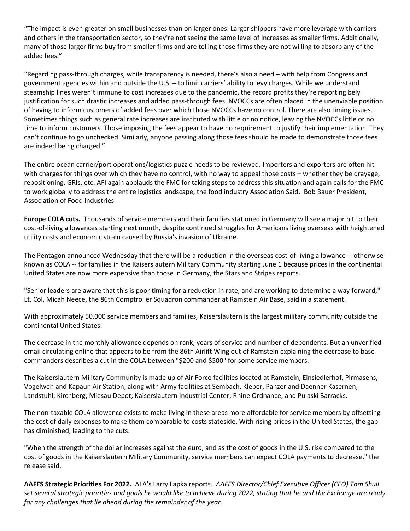"The impact is even greater on small businesses than on larger ones. Larger shippers have more leverage with carriers and others in the transportation sector, so they're not seeing the same level of increases as smaller firms. Additionally, many of those larger firms buy from smaller firms and are telling those firms they are not willing to absorb any of the added fees."

"Regarding pass-through charges, while transparency is needed, there's also a need – with help from Congress and government agencies within and outside the U.S. – to limit carriers' ability to levy charges. While we understand steamship lines weren't immune to cost increases due to the pandemic, the record profits they're reporting bely justification for such drastic increases and added pass-through fees. NVOCCs are often placed in the unenviable position of having to inform customers of added fees over which those NVOCCs have no control. There are also timing issues. Sometimes things such as general rate increases are instituted with little or no notice, leaving the NVOCCs little or no time to inform customers. Those imposing the fees appear to have no requirement to justify their implementation. They can't continue to go unchecked. Similarly, anyone passing along those fees should be made to demonstrate those fees are indeed being charged."

The entire ocean carrier/port operations/logistics puzzle needs to be reviewed. Importers and exporters are often hit with charges for things over which they have no control, with no way to appeal those costs – whether they be drayage, repositioning, GRIs, etc. AFI again applauds the FMC for taking steps to address this situation and again calls for the FMC to work globally to address the entire logistics landscape, the food industry Association Said. Bob Bauer President, Association of Food Industries

**Europe COLA cuts.** Thousands of service members and their families stationed in Germany will see a major hit to their cost-of-living allowances starting next month, despite continued struggles for Americans living overseas with heightened utility costs and economic strain caused by Russia's invasion of Ukraine.

The Pentagon announced Wednesday that there will be a reduction in the overseas cost-of-living allowance -- otherwise known as COLA -- for families in the Kaiserslautern Military Community starting June 1 because prices in the continental United States are now more expensive than those in Germany, the Stars and Stripes reports.

"Senior leaders are aware that this is poor timing for a reduction in rate, and are working to determine a way forward," Lt. Col. Micah Neece, the 86th Comptroller Squadron commander at [Ramstein Air Base,](https://protection.greathorn.com/services/v2/lookupUrl/f5b02bf7-7060-4493-95b3-47449cba97a2/616/8f8ec720601d17f01053b546f56736dcc83cf699) said in a statement.

With approximately 50,000 service members and families, Kaiserslautern is the largest military community outside the continental United States.

The decrease in the monthly allowance depends on rank, years of service and number of dependents. But an unverified email circulating online that appears to be from the 86th Airlift Wing out of Ramstein explaining the decrease to base commanders describes a cut in the COLA between "\$200 and \$500" for some service members.

The Kaiserslautern Military Community is made up of Air Force facilities located at Ramstein, Einsiedlerhof, Pirmasens, Vogelweh and Kapaun Air Station, along with Army facilities at Sembach, Kleber, Panzer and Daenner Kasernen; Landstuhl; Kirchberg; Miesau Depot; Kaiserslautern Industrial Center; Rhine Ordnance; and Pulaski Barracks.

The non-taxable COLA allowance exists to make living in these areas more affordable for service members by offsetting the cost of daily expenses to make them comparable to costs stateside. With rising prices in the United States, the gap has diminished, leading to the cuts.

"When the strength of the dollar increases against the euro, and as the cost of goods in the U.S. rise compared to the cost of goods in the Kaiserslautern Military Community, service members can expect COLA payments to decrease," the release said.

**AAFES Strategic Priorities For 2022.** ALA's Larry Lapka reports. *AAFES Director/Chief Executive Officer (CEO) Tom Shull set several strategic priorities and goals he would like to achieve during 2022, stating that he and the Exchange are ready for any challenges that lie ahead during the remainder of the year.*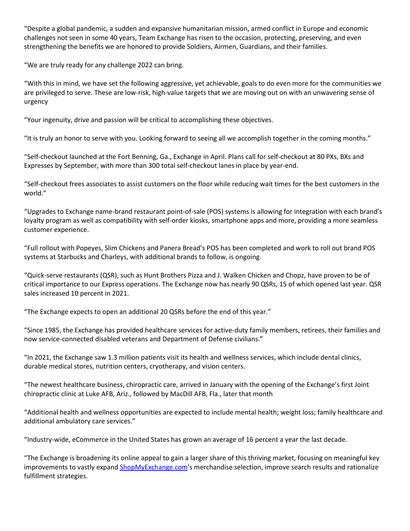"Despite a global pandemic, a sudden and expansive humanitarian mission, armed conflict in Europe and economic challenges not seen in some 40 years, Team Exchange has risen to the occasion, protecting, preserving, and even strengthening the benefits we are honored to provide Soldiers, Airmen, Guardians, and their families.

"We are truly ready for any challenge 2022 can bring.

"With this in mind, we have set the following aggressive, yet achievable, goals to do even more for the communities we are privileged to serve. These are low-risk, high-value targets that we are moving out on with an unwavering sense of urgency

"Your ingenuity, drive and passion will be critical to accomplishing these objectives.

"It is truly an honor to serve with you. Looking forward to seeing all we accomplish together in the coming months."

"Self-checkout launched at the Fort Benning, Ga., Exchange in April. Plans call for self-checkout at 80 PXs, BXs and Expresses by September, with more than 300 total self-checkout lanes in place by year-end.

"Self-checkout frees associates to assist customers on the floor while reducing wait times for the best customers in the world."

"Upgrades to Exchange name-brand restaurant point-of-sale (POS) systems is allowing for integration with each brand's loyalty program as well as compatibility with self-order kiosks, smartphone apps and more, providing a more seamless customer experience.

"Full rollout with Popeyes, Slim Chickens and Panera Bread's POS has been completed and work to roll out brand POS systems at Starbucks and Charleys, with additional brands to follow, is ongoing.

"Quick-serve restaurants (QSR), such as Hunt Brothers Pizza and J. Walken Chicken and Chopz, have proven to be of critical importance to our Express operations. The Exchange now has nearly 90 QSRs, 15 of which opened last year. QSR sales increased 10 percent in 2021.

"The Exchange expects to open an additional 20 QSRs before the end of this year."

"Since 1985, the Exchange has provided healthcare services for active-duty family members, retirees, their families and now service-connected disabled veterans and Department of Defense civilians."

"In 2021, the Exchange saw 1.3 million patients visit its health and wellness services, which include dental clinics, durable medical stores, nutrition centers, cryotherapy, and vision centers.

"The newest healthcare business, chiropractic care, arrived in January with the opening of the Exchange's first Joint chiropractic clinic at Luke AFB, Ariz., followed by MacDill AFB, Fla., later that month

"Additional health and wellness opportunities are expected to include mental health; weight loss; family healthcare and additional ambulatory care services."

"Industry-wide, eCommerce in the United States has grown an average of 16 percent a year the last decade.

"The Exchange is broadening its online appeal to gain a larger share of this thriving market, focusing on meaningful key improvements to vastly expand [ShopMyExchange.com](https://protection.greathorn.com/services/v2/lookupUrl/5efbd002-2706-4f88-a9dc-965b0cb207cc/616/8f8ec720601d17f01053b546f56736dcc83cf699)'s merchandise selection, improve search results and rationalize fulfillment strategies.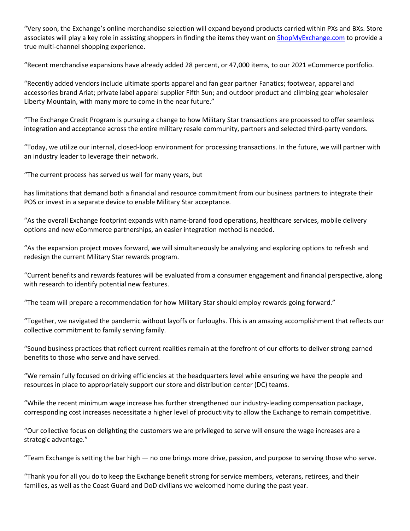"Very soon, the Exchange's online merchandise selection will expand beyond products carried within PXs and BXs. Store associates will play a key role in assisting shoppers in finding the items they want on [ShopMyExchange.com](https://protection.greathorn.com/services/v2/lookupUrl/5efbd002-2706-4f88-a9dc-965b0cb207cc/616/8f8ec720601d17f01053b546f56736dcc83cf699) to provide a true multi-channel shopping experience.

"Recent merchandise expansions have already added 28 percent, or 47,000 items, to our 2021 eCommerce portfolio.

"Recently added vendors include ultimate sports apparel and fan gear partner Fanatics; footwear, apparel and accessories brand Ariat; private label apparel supplier Fifth Sun; and outdoor product and climbing gear wholesaler Liberty Mountain, with many more to come in the near future."

"The Exchange Credit Program is pursuing a change to how Military Star transactions are processed to offer seamless integration and acceptance across the entire military resale community, partners and selected third-party vendors.

"Today, we utilize our internal, closed-loop environment for processing transactions. In the future, we will partner with an industry leader to leverage their network.

"The current process has served us well for many years, but

has limitations that demand both a financial and resource commitment from our business partners to integrate their POS or invest in a separate device to enable Military Star acceptance.

"As the overall Exchange footprint expands with name-brand food operations, healthcare services, mobile delivery options and new eCommerce partnerships, an easier integration method is needed.

"As the expansion project moves forward, we will simultaneously be analyzing and exploring options to refresh and redesign the current Military Star rewards program.

"Current benefits and rewards features will be evaluated from a consumer engagement and financial perspective, along with research to identify potential new features.

"The team will prepare a recommendation for how Military Star should employ rewards going forward."

"Together, we navigated the pandemic without layoffs or furloughs. This is an amazing accomplishment that reflects our collective commitment to family serving family.

"Sound business practices that reflect current realities remain at the forefront of our efforts to deliver strong earned benefits to those who serve and have served.

"We remain fully focused on driving efficiencies at the headquarters level while ensuring we have the people and resources in place to appropriately support our store and distribution center (DC) teams.

"While the recent minimum wage increase has further strengthened our industry-leading compensation package, corresponding cost increases necessitate a higher level of productivity to allow the Exchange to remain competitive.

"Our collective focus on delighting the customers we are privileged to serve will ensure the wage increases are a strategic advantage."

"Team Exchange is setting the bar high — no one brings more drive, passion, and purpose to serving those who serve.

"Thank you for all you do to keep the Exchange benefit strong for service members, veterans, retirees, and their families, as well as the Coast Guard and DoD civilians we welcomed home during the past year.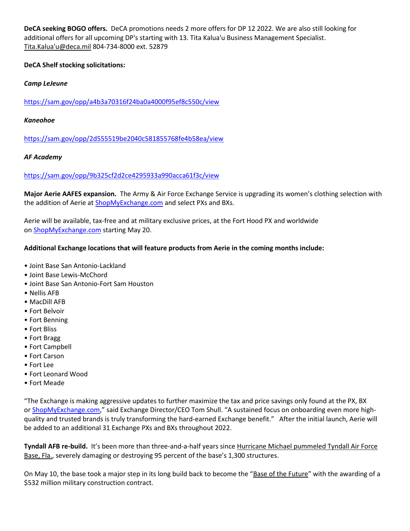**DeCA seeking BOGO offers.** DeCA promotions needs 2 more offers for DP 12 2022. We are also still looking for additional offers for all upcoming DP's starting with 13. Tita Kalua'u Business Management Specialist. [Tita.Kalua'u@deca.mil](mailto:Tita.Kalua) 804-734-8000 ext. 52879

#### **DeCA Shelf stocking solicitations:**

#### *Camp LeJeune*

[https://sam.gov/opp/a4b3a70316f24ba0a4000f95ef8c550c/view](https://protection.greathorn.com/services/v2/lookupUrl/c429ed92-1863-4000-939b-282ee3f5454d/616/8f8ec720601d17f01053b546f56736dcc83cf699)

#### *Kaneohoe*

[https://sam.gov/opp/2d555519be2040c581855768fe4b58ea/view](https://protection.greathorn.com/services/v2/lookupUrl/322de5c5-12e2-4f19-ba7c-f0582e9672ea/616/8f8ec720601d17f01053b546f56736dcc83cf699)

#### *AF Academy*

#### [https://sam.gov/opp/9b325cf2d2ce4295933a990acca61f3c/view](https://protection.greathorn.com/services/v2/lookupUrl/43a97114-7653-4066-89fa-1a448b7f1e60/616/8f8ec720601d17f01053b546f56736dcc83cf699)

**Major Aerie AAFES expansion.** The Army & Air Force Exchange Service is upgrading its women's clothing selection with the addition of Aerie at [ShopMyExchange.com](https://protection.greathorn.com/services/v2/lookupUrl/5efbd002-2706-4f88-a9dc-965b0cb207cc/616/8f8ec720601d17f01053b546f56736dcc83cf699) and select PXs and BXs.

Aerie will be available, tax-free and at military exclusive prices, at the Fort Hood PX and worldwide on [ShopMyExchange.com](https://protection.greathorn.com/services/v2/lookupUrl/5efbd002-2706-4f88-a9dc-965b0cb207cc/616/8f8ec720601d17f01053b546f56736dcc83cf699) starting May 20.

#### **Additional Exchange locations that will feature products from Aerie in the coming months include:**

- Joint Base San Antonio-Lackland
- Joint Base Lewis-McChord
- Joint Base San Antonio-Fort Sam Houston
- Nellis AFB
- MacDill AFB
- Fort Belvoir
- Fort Benning
- Fort Bliss
- Fort Bragg
- Fort Campbell
- Fort Carson
- Fort Lee
- Fort Leonard Wood
- Fort Meade

"The Exchange is making aggressive updates to further maximize the tax and price savings only found at the PX, BX or [ShopMyExchange.com](https://protection.greathorn.com/services/v2/lookupUrl/5efbd002-2706-4f88-a9dc-965b0cb207cc/616/8f8ec720601d17f01053b546f56736dcc83cf699)," said Exchange Director/CEO Tom Shull. "A sustained focus on onboarding even more highquality and trusted brands is truly transforming the hard-earned Exchange benefit." After the initial launch, Aerie will be added to an additional 31 Exchange PXs and BXs throughout 2022.

**Tyndall AFB re-build.** It's been more than three-and-a-half years since [Hurricane Michael pummeled Tyndall Air Force](https://protection.greathorn.com/services/v2/lookupUrl/d7a31c73-6bc3-4831-be95-d4273f049467/616/8f8ec720601d17f01053b546f56736dcc83cf699)  [Base, Fla.,](https://protection.greathorn.com/services/v2/lookupUrl/d7a31c73-6bc3-4831-be95-d4273f049467/616/8f8ec720601d17f01053b546f56736dcc83cf699) severely damaging or destroying 95 percent of the base's 1,300 structures.

On May 10, the base took a major step in its long build back to become the "[Base of the Future](https://protection.greathorn.com/services/v2/lookupUrl/4ce96c3e-d574-49de-8bee-99a0ee6dc320/616/8f8ec720601d17f01053b546f56736dcc83cf699)" with the awarding of a \$532 million military construction contract.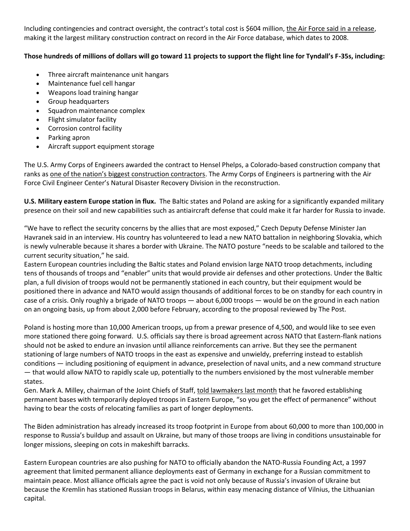Including contingencies and contract oversight, the contract's total cost is \$604 million, [the Air Force said in a release,](https://protection.greathorn.com/services/v2/lookupUrl/6f990b8f-0c4c-4467-979a-570624ccc90b/616/8f8ec720601d17f01053b546f56736dcc83cf699) making it the largest military construction contract on record in the Air Force database, which dates to 2008.

# **Those hundreds of millions of dollars will go toward 11 projects to support the flight line for Tyndall's F-35s, including:**

- Three aircraft maintenance unit hangars
- Maintenance fuel cell hangar
- Weapons load training hangar
- Group headquarters
- Squadron maintenance complex
- Flight simulator facility
- Corrosion control facility
- Parking apron
- Aircraft support equipment storage

The U.S. Army Corps of Engineers awarded the contract to Hensel Phelps, a Colorado-based construction company that ranks as [one of the nation's biggest construction contractors](https://protection.greathorn.com/services/v2/lookupUrl/ea561739-cb48-4383-b7b6-2127105b9e4c/616/8f8ec720601d17f01053b546f56736dcc83cf699). The Army Corps of Engineers is partnering with the Air Force Civil Engineer Center's Natural Disaster Recovery Division in the reconstruction.

**U.S. Military eastern Europe station in flux.** The Baltic states and Poland are asking for a significantly expanded military presence on their soil and new capabilities such as antiaircraft defense that could make it far harder for Russia to invade.

"We have to reflect the security concerns by the allies that are most exposed," Czech Deputy Defense Minister Jan Havranek said in an interview. His country has volunteered to lead a new NATO battalion in neighboring Slovakia, which is newly vulnerable because it shares a border with Ukraine. The NATO posture "needs to be scalable and tailored to the current security situation," he said.

Eastern European countries including the Baltic states and Poland envision large NATO troop detachments, including tens of thousands of troops and "enabler" units that would provide air defenses and other protections. Under the Baltic plan, a full division of troops would not be permanently stationed in each country, but their equipment would be positioned there in advance and NATO would assign thousands of additional forces to be on standby for each country in case of a crisis. Only roughly a brigade of NATO troops — about 6,000 troops — would be on the ground in each nation on an ongoing basis, up from about 2,000 before February, according to the proposal reviewed by The Post.

Poland is hosting more than 10,000 American troops, up from a prewar presence of 4,500, and would like to see even more stationed there going forward. U.S. officials say there is broad agreement across NATO that Eastern-flank nations should not be asked to endure an invasion until alliance reinforcements can arrive. But they see the permanent stationing of large numbers of NATO troops in the east as expensive and unwieldy, preferring instead to establish conditions — including positioning of equipment in advance, preselection of naval units, and a new command structure — that would allow NATO to rapidly scale up, potentially to the numbers envisioned by the most vulnerable member states.

Gen. Mark A. Milley, chairman of the Joint Chiefs of Staff, [told lawmakers last month](https://protection.greathorn.com/services/v2/lookupUrl/d87abc4a-d11f-4526-80ae-d9922c6e2ba3/616/8f8ec720601d17f01053b546f56736dcc83cf699) that he favored establishing permanent bases with temporarily deployed troops in Eastern Europe, "so you get the effect of permanence" without having to bear the costs of relocating families as part of longer deployments.

The Biden administration has already increased its troop footprint in Europe from about 60,000 to more than 100,000 in response to Russia's buildup and assault on Ukraine, but many of those troops are living in conditions unsustainable for longer missions, sleeping on cots in makeshift barracks.

Eastern European countries are also pushing for NATO to officially abandon the NATO-Russia Founding Act, a 1997 agreement that limited permanent alliance deployments east of Germany in exchange for a Russian commitment to maintain peace. Most alliance officials agree the pact is void not only because of Russia's invasion of Ukraine but because the Kremlin has stationed Russian troops in Belarus, within easy menacing distance of Vilnius, the Lithuanian capital.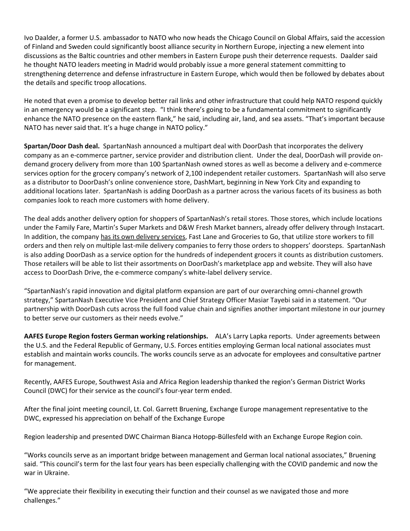Ivo Daalder, a former U.S. ambassador to NATO who now heads the Chicago Council on Global Affairs, said the accession of Finland and Sweden could significantly boost alliance security in Northern Europe, injecting a new element into discussions as the Baltic countries and other members in Eastern Europe push their deterrence requests. Daalder said he thought NATO leaders meeting in Madrid would probably issue a more general statement committing to strengthening deterrence and defense infrastructure in Eastern Europe, which would then be followed by debates about the details and specific troop allocations.

He noted that even a promise to develop better rail links and other infrastructure that could help NATO respond quickly in an emergency would be a significant step. "I think there's going to be a fundamental commitment to significantly enhance the NATO presence on the eastern flank," he said, including air, land, and sea assets. "That's important because NATO has never said that. It's a huge change in NATO policy."

**Spartan/Door Dash deal.** SpartanNash announced a multipart deal with DoorDash that incorporates the delivery company as an e-commerce partner, service provider and distribution client. Under the deal, DoorDash will provide ondemand grocery delivery from more than 100 SpartanNash owned stores as well as become a delivery and e-commerce services option for the grocery company's network of 2,100 independent retailer customers. SpartanNash will also serve as a distributor to DoorDash's online convenience store, DashMart, beginning in New York City and expanding to additional locations later. SpartanNash is adding DoorDash as a partner across the various facets of its business as both companies look to reach more customers with home delivery.

The deal adds another delivery option for shoppers of SpartanNash's retail stores. Those stores, which include locations under the Family Fare, Martin's Super Markets and D&W Fresh Market banners, already offer delivery through Instacart. In addition, the company [has its own delivery services,](https://protection.greathorn.com/services/v2/lookupUrl/5098af2e-e665-4074-b918-bdc7a4911a9f/616/8f8ec720601d17f01053b546f56736dcc83cf699) Fast Lane and Groceries to Go, that utilize store workers to fill orders and then rely on multiple last-mile delivery companies to ferry those orders to shoppers' doorsteps. SpartanNash is also adding DoorDash as a service option for the hundreds of independent grocers it counts as distribution customers. Those retailers will be able to list their assortments on DoorDash's marketplace app and website. They will also have access to DoorDash Drive, the e-commerce company's white-label delivery service.

"SpartanNash's rapid innovation and digital platform expansion are part of our overarching omni-channel growth strategy," SpartanNash Executive Vice President and Chief Strategy Officer Masiar Tayebi said in a statement. "Our partnership with DoorDash cuts across the full food value chain and signifies another important milestone in our journey to better serve our customers as their needs evolve."

**AAFES Europe Region fosters German working relationships.** ALA's Larry Lapka reports. Under agreements between the U.S. and the Federal Republic of Germany, U.S. Forces entities employing German local national associates must establish and maintain works councils. The works councils serve as an advocate for employees and consultative partner for management.

Recently, AAFES Europe, Southwest Asia and Africa Region leadership thanked the region's German District Works Council (DWC) for their service as the council's four-year term ended.

After the final joint meeting council, Lt. Col. Garrett Bruening, Exchange Europe management representative to the DWC, expressed his appreciation on behalf of the Exchange Europe

Region leadership and presented DWC Chairman Bianca Hotopp-Büllesfeld with an Exchange Europe Region coin.

"Works councils serve as an important bridge between management and German local national associates," Bruening said. "This council's term for the last four years has been especially challenging with the COVID pandemic and now the war in Ukraine.

"We appreciate their flexibility in executing their function and their counsel as we navigated those and more challenges."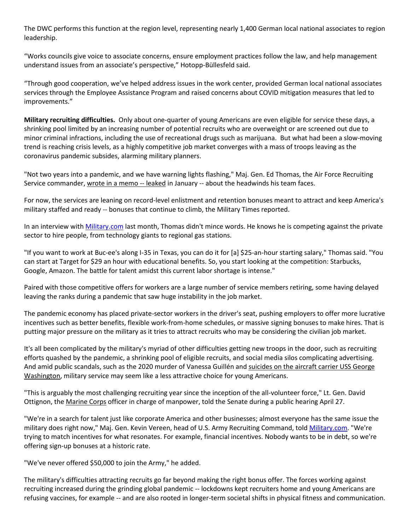The DWC performs this function at the region level, representing nearly 1,400 German local national associates to region leadership.

"Works councils give voice to associate concerns, ensure employment practices follow the law, and help management understand issues from an associate's perspective," Hotopp-Büllesfeld said.

"Through good cooperation, we've helped address issues in the work center, provided German local national associates services through the Employee Assistance Program and raised concerns about COVID mitigation measures that led to improvements."

**Military recruiting difficulties.** Only about one-quarter of young Americans are even eligible for service these days, a shrinking pool limited by an increasing number of potential recruits who are overweight or are screened out due to minor criminal infractions, including the use of recreational drugs such as marijuana. But what had been a slow-moving trend is reaching crisis levels, as a highly competitive job market converges with a mass of troops leaving as the coronavirus pandemic subsides, alarming military planners.

"Not two years into a pandemic, and we have warning lights flashing," Maj. Gen. Ed Thomas, the Air Force Recruiting Service commander, [wrote in a memo --](https://protection.greathorn.com/services/v2/lookupUrl/d5432626-01c7-41cc-b7b5-7ab253b3fbee/616/8f8ec720601d17f01053b546f56736dcc83cf699) leaked in January -- about the headwinds his team faces.

For now, the services are leaning on record-level enlistment and retention bonuses meant to attract and keep America's military staffed and ready -- bonuses that continue to climb, the Military Times reported.

In an interview with [Military.com](https://protection.greathorn.com/services/v2/lookupUrl/ac8e7183-8182-4c7c-b298-1abf8d44161b/616/8f8ec720601d17f01053b546f56736dcc83cf699) last month, Thomas didn't mince words. He knows he is competing against the private sector to hire people, from technology giants to regional gas stations.

"If you want to work at Buc-ee's along I-35 in Texas, you can do it for [a] \$25-an-hour starting salary," Thomas said. "You can start at Target for \$29 an hour with educational benefits. So, you start looking at the competition: Starbucks, Google, Amazon. The battle for talent amidst this current labor shortage is intense."

Paired with those competitive offers for workers are a large number of service members retiring, some having delayed leaving the ranks during a pandemic that saw huge instability in the job market.

The pandemic economy has placed private-sector workers in the driver's seat, pushing employers to offer more lucrative incentives such as better benefits, flexible work-from-home schedules, or massive signing bonuses to make hires. That is putting major pressure on the military as it tries to attract recruits who may be considering the civilian job market.

It's all been complicated by the military's myriad of other difficulties getting new troops in the door, such as recruiting efforts quashed by the pandemic, a shrinking pool of eligible recruits, and social media silos complicating advertising. And amid public scandals, such as the 2020 murder of Vanessa Guillén and suicides on the aircraft carrier USS George [Washington,](https://protection.greathorn.com/services/v2/lookupUrl/216a1ed9-abbd-46cb-9de0-1fdf80f8b8ae/616/8f8ec720601d17f01053b546f56736dcc83cf699) military service may seem like a less attractive choice for young Americans.

"This is arguably the most challenging recruiting year since the inception of the all-volunteer force," Lt. Gen. David Ottignon, the [Marine Corps](https://protection.greathorn.com/services/v2/lookupUrl/27dd8826-203e-41ef-b4aa-cdd952def4c6/616/8f8ec720601d17f01053b546f56736dcc83cf699) officer in charge of manpower, told the Senate during a public hearing April 27.

"We're in a search for talent just like corporate America and other businesses; almost everyone has the same issue the military does right now," Maj. Gen. Kevin Vereen, head of U.S. Army Recruiting Command, told [Military.com.](https://protection.greathorn.com/services/v2/lookupUrl/ac8e7183-8182-4c7c-b298-1abf8d44161b/616/8f8ec720601d17f01053b546f56736dcc83cf699) "We're trying to match incentives for what resonates. For example, financial incentives. Nobody wants to be in debt, so we're offering sign-up bonuses at a historic rate.

"We've never offered \$50,000 to join the Army," he added.

The military's difficulties attracting recruits go far beyond making the right bonus offer. The forces working against recruiting increased during the grinding global pandemic -- lockdowns kept recruiters home and young Americans are refusing vaccines, for example -- and are also rooted in longer-term societal shifts in physical fitness and communication.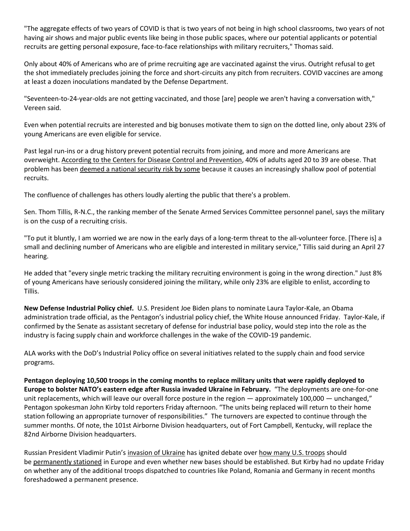"The aggregate effects of two years of COVID is that is two years of not being in high school classrooms, two years of not having air shows and major public events like being in those public spaces, where our potential applicants or potential recruits are getting personal exposure, face-to-face relationships with military recruiters," Thomas said.

Only about 40% of Americans who are of prime recruiting age are vaccinated against the virus. Outright refusal to get the shot immediately precludes joining the force and short-circuits any pitch from recruiters. COVID vaccines are among at least a dozen inoculations mandated by the Defense Department.

"Seventeen-to-24-year-olds are not getting vaccinated, and those [are] people we aren't having a conversation with," Vereen said.

Even when potential recruits are interested and big bonuses motivate them to sign on the dotted line, only about 23% of young Americans are even eligible for service.

Past legal run-ins or a drug history prevent potential recruits from joining, and more and more Americans are overweight. [According to the Centers for Disease Control and Prevention,](https://protection.greathorn.com/services/v2/lookupUrl/9cebdeb8-1e5b-440d-b054-ff2f09c69953/616/8f8ec720601d17f01053b546f56736dcc83cf699) 40% of adults aged 20 to 39 are obese. That problem has been [deemed a national security risk by some](https://protection.greathorn.com/services/v2/lookupUrl/aae832df-f92d-42ed-abf2-19fe7dd190c0/616/8f8ec720601d17f01053b546f56736dcc83cf699) because it causes an increasingly shallow pool of potential recruits.

The confluence of challenges has others loudly alerting the public that there's a problem.

Sen. Thom Tillis, R-N.C., the ranking member of the Senate Armed Services Committee personnel panel, says the military is on the cusp of a recruiting crisis.

"To put it bluntly, I am worried we are now in the early days of a long-term threat to the all-volunteer force. [There is] a small and declining number of Americans who are eligible and interested in military service," Tillis said during an April 27 hearing.

He added that "every single metric tracking the military recruiting environment is going in the wrong direction." Just 8% of young Americans have seriously considered joining the military, while only 23% are eligible to enlist, according to Tillis.

**New Defense Industrial Policy chief.** U.S. President Joe Biden plans to nominate Laura Taylor-Kale, an Obama administration trade official, as the Pentagon's industrial policy chief, the White House announced Friday. Taylor-Kale, if confirmed by the Senate as assistant secretary of defense for industrial base policy, would step into the role as the industry is facing supply chain and workforce challenges in the wake of the COVID-19 pandemic.

ALA works with the DoD's Industrial Policy office on several initiatives related to the supply chain and food service programs.

**Pentagon deploying 10,500 troops in the coming months to replace military units that were rapidly deployed to Europe to bolster NATO's eastern edge after Russia invaded Ukraine in February.** "The deployments are one-for-one unit replacements, which will leave our overall force posture in the region — approximately 100,000 — unchanged," Pentagon spokesman John Kirby told reporters Friday afternoon. "The units being replaced will return to their home station following an appropriate turnover of responsibilities." The turnovers are expected to continue through the summer months. Of note, the 101st Airborne Division headquarters, out of Fort Campbell, Kentucky, will replace the 82nd Airborne Division headquarters.

Russian President Vladimir Putin's [invasion of Ukraine](https://protection.greathorn.com/services/v2/lookupUrl/dd942b9d-01c2-4556-9ccb-86096d8ac936/616/8f8ec720601d17f01053b546f56736dcc83cf699) has ignited debate over [how many U.S. troops](https://protection.greathorn.com/services/v2/lookupUrl/50b1552b-2be4-4c57-89d5-29de9713e82f/616/8f8ec720601d17f01053b546f56736dcc83cf699) should be [permanently stationed](https://protection.greathorn.com/services/v2/lookupUrl/c6d88cd8-dfa4-446f-831d-2c7db068a846/616/8f8ec720601d17f01053b546f56736dcc83cf699) in Europe and even whether new bases should be established. But Kirby had no update Friday on whether any of the additional troops dispatched to countries like Poland, Romania and Germany in recent months foreshadowed a permanent presence.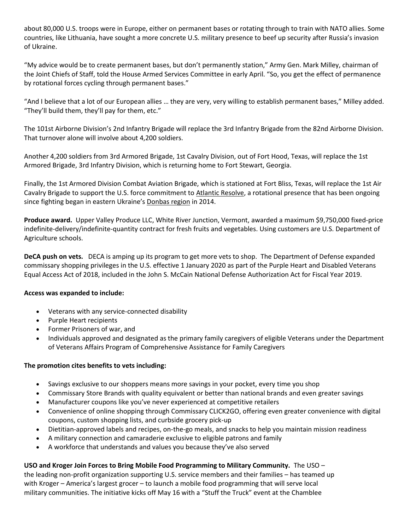about 80,000 U.S. troops were in Europe, either on permanent bases or rotating through to train with NATO allies. Some countries, like Lithuania, have sought a more concrete U.S. military presence to beef up security after Russia's invasion of Ukraine.

"My advice would be to create permanent bases, but don't permanently station," Army Gen. Mark Milley, chairman of the Joint Chiefs of Staff, told the House Armed Services Committee in early April. "So, you get the effect of permanence by rotational forces cycling through permanent bases."

"And I believe that a lot of our European allies … they are very, very willing to establish permanent bases," Milley added. "They'll build them, they'll pay for them, etc."

The 101st Airborne Division's 2nd Infantry Brigade will replace the 3rd Infantry Brigade from the 82nd Airborne Division. That turnover alone will involve about 4,200 soldiers.

Another 4,200 soldiers from 3rd Armored Brigade, 1st Cavalry Division, out of Fort Hood, Texas, will replace the 1st Armored Brigade, 3rd Infantry Division, which is returning home to Fort Stewart, Georgia.

Finally, the 1st Armored Division Combat Aviation Brigade, which is stationed at Fort Bliss, Texas, will replace the 1st Air Cavalry Brigade to support the U.S. force commitment to [Atlantic Resolve,](https://protection.greathorn.com/services/v2/lookupUrl/6c5b2abd-4109-471d-9582-01cd85be08ff/616/8f8ec720601d17f01053b546f56736dcc83cf699) a rotational presence that has been ongoing since fighting began in eastern Ukraine's [Donbas region](https://protection.greathorn.com/services/v2/lookupUrl/8b673ac5-d54b-4bac-8722-fe158a265229/616/8f8ec720601d17f01053b546f56736dcc83cf699) in 2014.

**Produce award.** Upper Valley Produce LLC, White River Junction, Vermont, awarded a maximum \$9,750,000 fixed-price indefinite-delivery/indefinite-quantity contract for fresh fruits and vegetables. Using customers are U.S. Department of Agriculture schools.

**DeCA push on vets.** DECA is amping up its program to get more vets to shop. The Department of Defense expanded commissary shopping privileges in the U.S. effective 1 January 2020 as part of the Purple Heart and Disabled Veterans Equal Access Act of 2018, included in the John S. McCain National Defense Authorization Act for Fiscal Year 2019.

# **Access was expanded to include:**

- Veterans with any service-connected disability
- Purple Heart recipients
- Former Prisoners of war, and
- Individuals approved and designated as the primary family caregivers of eligible Veterans under the Department of Veterans Affairs Program of Comprehensive Assistance for Family Caregivers

# **The promotion cites benefits to vets including:**

- Savings exclusive to our shoppers means more savings in your pocket, every time you shop
- Commissary Store Brands with quality equivalent or better than national brands and even greater savings
- Manufacturer coupons like you've never experienced at competitive retailers
- Convenience of online shopping through Commissary CLICK2GO, offering even greater convenience with digital coupons, custom shopping lists, and curbside grocery pick-up
- Dietitian-approved labels and recipes, on-the-go meals, and snacks to help you maintain mission readiness
- A military connection and camaraderie exclusive to eligible patrons and family
- A workforce that understands and values you because they've also served

# **USO and Kroger Join Forces to Bring Mobile Food Programming to Military Community.** The USO –

the leading non-profit organization supporting U.S. service members and their families – has teamed up with Kroger – America's largest grocer – to launch a mobile food programming that will serve local military communities. The initiative kicks off May 16 with a "Stuff the Truck" event at the Chamblee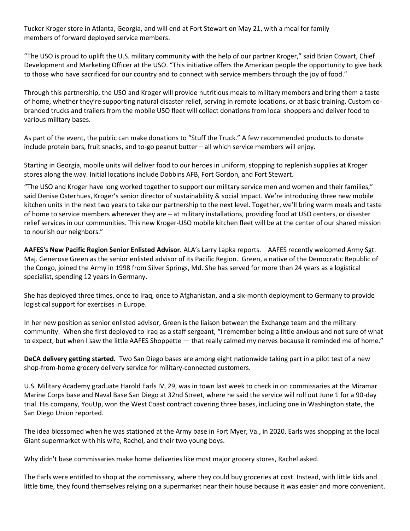Tucker Kroger store in Atlanta, Georgia, and will end at Fort Stewart on May 21, with a meal for family members of forward deployed service members.

"The USO is proud to uplift the U.S. military community with the help of our partner Kroger," said Brian Cowart, Chief Development and Marketing Officer at the USO. "This initiative offers the American people the opportunity to give back to those who have sacrificed for our country and to connect with service members through the joy of food."

Through this partnership, the USO and Kroger will provide nutritious meals to military members and bring them a taste of home, whether they're supporting natural disaster relief, serving in remote locations, or at basic training. Custom cobranded trucks and trailers from the mobile USO fleet will collect donations from local shoppers and deliver food to various military bases.

As part of the event, the public can make donations to "Stuff the Truck." A few recommended products to donate include protein bars, fruit snacks, and to-go peanut butter – all which service members will enjoy.

Starting in Georgia, mobile units will deliver food to our heroes in uniform, stopping to replenish supplies at Kroger stores along the way. Initial locations include Dobbins AFB, Fort Gordon, and Fort Stewart.

"The USO and Kroger have long worked together to support our military service men and women and their families," said Denise Osterhues, Kroger's senior director of sustainability & social Impact. We're introducing three new mobile kitchen units in the next two years to take our partnership to the next level. Together, we'll bring warm meals and taste of home to service members wherever they are – at military installations, providing food at USO centers, or disaster relief services in our communities. This new Kroger-USO mobile kitchen fleet will be at the center of our shared mission to nourish our neighbors."

**AAFES's New Pacific Region Senior Enlisted Advisor.** ALA's Larry Lapka reports. AAFES recently welcomed Army Sgt. Maj. Generose Green as the senior enlisted advisor of its Pacific Region. Green, a native of the Democratic Republic of the Congo, joined the Army in 1998 from Silver Springs, Md. She has served for more than 24 years as a logistical specialist, spending 12 years in Germany.

She has deployed three times, once to Iraq, once to Afghanistan, and a six-month deployment to Germany to provide logistical support for exercises in Europe.

In her new position as senior enlisted advisor, Green is the liaison between the Exchange team and the military community. When she first deployed to Iraq as a staff sergeant, "I remember being a little anxious and not sure of what to expect, but when I saw the little AAFES Shoppette — that really calmed my nerves because it reminded me of home."

**DeCA delivery getting started.** Two San Diego bases are among eight nationwide taking part in a pilot test of a new shop-from-home grocery delivery service for military-connected customers.

U.S. Military Academy graduate Harold Earls IV, 29, was in town last week to check in on commissaries at the Miramar Marine Corps base and Naval Base San Diego at 32nd Street, where he said the service will roll out June 1 for a 90-day trial. His company, YouUp, won the West Coast contract covering three bases, including one in Washington state, the San Diego Union reported.

The idea blossomed when he was stationed at the Army base in Fort Myer, Va., in 2020. Earls was shopping at the local Giant supermarket with his wife, Rachel, and their two young boys.

Why didn't base commissaries make home deliveries like most major grocery stores, Rachel asked.

The Earls were entitled to shop at the commissary, where they could buy groceries at cost. Instead, with little kids and little time, they found themselves relying on a supermarket near their house because it was easier and more convenient.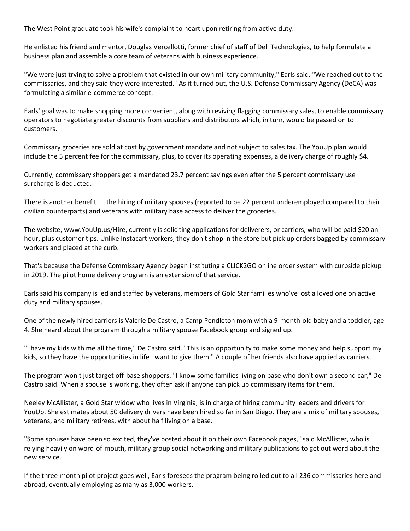The West Point graduate took his wife's complaint to heart upon retiring from active duty.

He enlisted his friend and mentor, Douglas Vercellotti, former chief of staff of Dell Technologies, to help formulate a business plan and assemble a core team of veterans with business experience.

"We were just trying to solve a problem that existed in our own military community," Earls said. "We reached out to the commissaries, and they said they were interested." As it turned out, the U.S. Defense Commissary Agency (DeCA) was formulating a similar e-commerce concept.

Earls' goal was to make shopping more convenient, along with reviving flagging commissary sales, to enable commissary operators to negotiate greater discounts from suppliers and distributors which, in turn, would be passed on to customers.

Commissary groceries are sold at cost by government mandate and not subject to sales tax. The YouUp plan would include the 5 percent fee for the commissary, plus, to cover its operating expenses, a delivery charge of roughly \$4.

Currently, commissary shoppers get a mandated 23.7 percent savings even after the 5 percent commissary use surcharge is deducted.

There is another benefit — the hiring of military spouses (reported to be 22 percent underemployed compared to their civilian counterparts) and veterans with military base access to deliver the groceries.

The website, [www.YouUp.us/Hire,](https://protection.greathorn.com/services/v2/lookupUrl/935b8c3c-ca98-477c-89da-c1c38f25d45b/616/8f8ec720601d17f01053b546f56736dcc83cf699) currently is soliciting applications for deliverers, or carriers, who will be paid \$20 an hour, plus customer tips. Unlike Instacart workers, they don't shop in the store but pick up orders bagged by commissary workers and placed at the curb.

That's because the Defense Commissary Agency began instituting a CLICK2GO online order system with curbside pickup in 2019. The pilot home delivery program is an extension of that service.

Earls said his company is led and staffed by veterans, members of Gold Star families who've lost a loved one on active duty and military spouses.

One of the newly hired carriers is Valerie De Castro, a Camp Pendleton mom with a 9-month-old baby and a toddler, age 4. She heard about the program through a military spouse Facebook group and signed up.

"I have my kids with me all the time," De Castro said. "This is an opportunity to make some money and help support my kids, so they have the opportunities in life I want to give them." A couple of her friends also have applied as carriers.

The program won't just target off-base shoppers. "I know some families living on base who don't own a second car," De Castro said. When a spouse is working, they often ask if anyone can pick up commissary items for them.

Neeley McAllister, a Gold Star widow who lives in Virginia, is in charge of hiring community leaders and drivers for YouUp. She estimates about 50 delivery drivers have been hired so far in San Diego. They are a mix of military spouses, veterans, and military retirees, with about half living on a base.

"Some spouses have been so excited, they've posted about it on their own Facebook pages," said McAllister, who is relying heavily on word-of-mouth, military group social networking and military publications to get out word about the new service.

If the three-month pilot project goes well, Earls foresees the program being rolled out to all 236 commissaries here and abroad, eventually employing as many as 3,000 workers.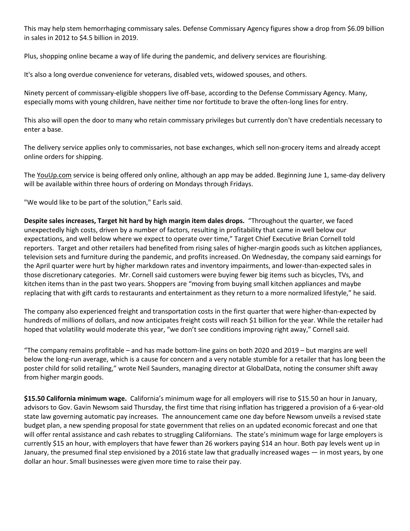This may help stem hemorrhaging commissary sales. Defense Commissary Agency figures show a drop from \$6.09 billion in sales in 2012 to \$4.5 billion in 2019.

Plus, shopping online became a way of life during the pandemic, and delivery services are flourishing.

It's also a long overdue convenience for veterans, disabled vets, widowed spouses, and others.

Ninety percent of commissary-eligible shoppers live off-base, according to the Defense Commissary Agency. Many, especially moms with young children, have neither time nor fortitude to brave the often-long lines for entry.

This also will open the door to many who retain commissary privileges but currently don't have credentials necessary to enter a base.

The delivery service applies only to commissaries, not base exchanges, which sell non-grocery items and already accept online orders for shipping.

The [YouUp.com](https://protection.greathorn.com/services/v2/lookupUrl/41ae9447-8984-4ab0-9bd8-a2deecde03c1/616/8f8ec720601d17f01053b546f56736dcc83cf699) service is being offered only online, although an app may be added. Beginning June 1, same-day delivery will be available within three hours of ordering on Mondays through Fridays.

"We would like to be part of the solution," Earls said.

**Despite sales increases, Target hit hard by high margin item dales drops.** "Throughout the quarter, we faced unexpectedly high costs, driven by a number of factors, resulting in profitability that came in well below our expectations, and well below where we expect to operate over time," Target Chief Executive Brian Cornell told reporters. Target and other retailers had benefited from rising sales of higher-margin goods such as kitchen appliances, television sets and furniture during the pandemic, and profits increased. On Wednesday, the company said earnings for the April quarter were hurt by higher markdown rates and inventory impairments, and lower-than-expected sales in those discretionary categories. Mr. Cornell said customers were buying fewer big items such as bicycles, TVs, and kitchen items than in the past two years. Shoppers are "moving from buying small kitchen appliances and maybe replacing that with gift cards to restaurants and entertainment as they return to a more normalized lifestyle," he said.

The company also experienced freight and transportation costs in the first quarter that were higher-than-expected by hundreds of millions of dollars, and now anticipates freight costs will reach \$1 billion for the year. While the retailer had hoped that volatility would moderate this year, "we don't see conditions improving right away," Cornell said.

"The company remains profitable – and has made bottom-line gains on both 2020 and 2019 – but margins are well below the long-run average, which is a cause for concern and a very notable stumble for a retailer that has long been the poster child for solid retailing," wrote Neil Saunders, managing director at GlobalData, noting the consumer shift away from higher margin goods.

**\$15.50 California minimum wage.** California's minimum wage for all employers will rise to \$15.50 an hour in January, advisors to Gov. Gavin Newsom said Thursday, the first time that rising inflation has triggered a provision of a 6-year-old state law governing automatic pay increases. The announcement came one day before Newsom unveils a revised state budget plan, a new spending proposal for state government that relies on an updated economic forecast and one that will offer rental assistance and cash rebates to struggling Californians. The state's minimum wage for large employers is currently \$15 an hour, with employers that have fewer than 26 workers paying \$14 an hour. Both pay levels went up in January, the presumed final step envisioned by a 2016 state law that gradually increased wages — in most years, by one dollar an hour. Small businesses were given more time to raise their pay.